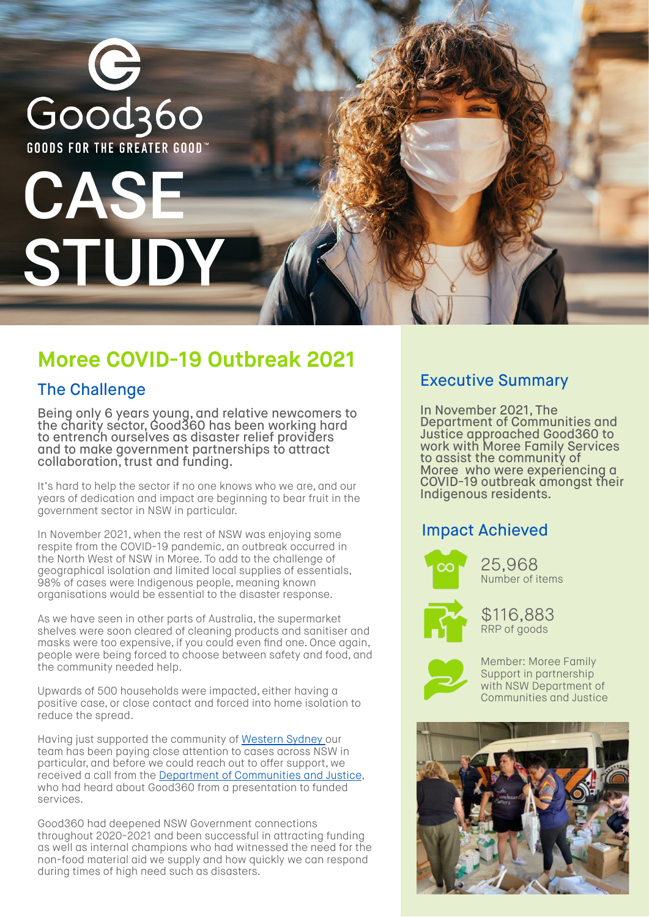

# **Moree COVID-19 Outbreak 2021**

## The Challenge

Being only 6 years young, and relative newcomers to the charity sector, Good360 has been working hard to entrench ourselves as disaster relief providers and to make government partnerships to attract collaboration, trust and funding.

It's hard to help the sector if no one knows who we are, and our years of dedication and impact are beginning to bear fruit in the government sector in NSW in particular.

In November 2021, when the rest of NSW was enjoying some respite from the COVID-19 pandemic, an outbreak occurred in the North West of NSW in Moree. To add to the challenge of geographical isolation and limited local supplies of essentials, 98% of cases were Indigenous people, meaning known organisations would be essential to the disaster response.

As we have seen in other parts of Australia, the supermarket shelves were soon cleared of cleaning products and sanitiser and masks were too expensive, if you could even find one. Once again, people were being forced to choose between safety and food, and the community needed help.

Upwards of 500 households were impacted, either having a positive case, or close contact and forced into home isolation to reduce the spread.

Having just supported the community of Western Sydney our team has been paying close attention to cases across NSW in particular, and before we could reach out to offer support, we received a call from the Department of Communities and Justice, who had heard about Good360 from a presentation to funded services.

Good360 had deepened NSW Government connections throughout 2020-2021 and been successful in attracting funding as well as internal champions who had witnessed the need for the non-food material aid we supply and how quickly we can respond during times of high need such as disasters.

### Executive Summary

In November 2021, The Department of Communities and Justice approached Good360 to work with Moree Family Services to assist the community of Moree who were experiencing a COVID-19 outbreak amongst their Indigenous residents.

### Impact Achieved



25,968 Number of items



\$116,883 RRP of goods



Member: Moree Family Support in partnership with NSW Department of Communities and Justice